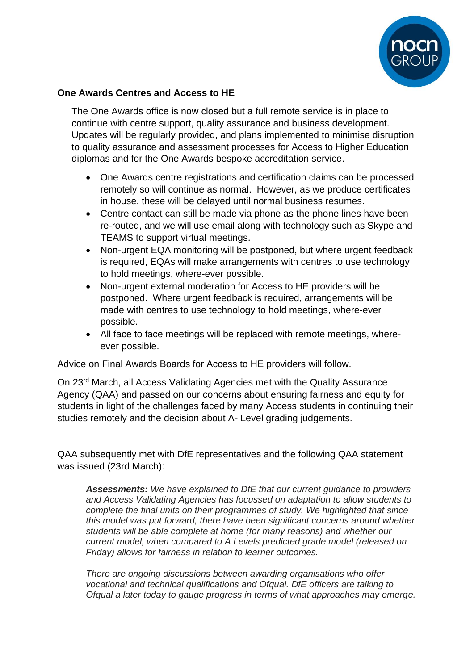

## **One Awards Centres and Access to HE**

The One Awards office is now closed but a full remote service is in place to continue with centre support, quality assurance and business development. Updates will be regularly provided, and plans implemented to minimise disruption to quality assurance and assessment processes for Access to Higher Education diplomas and for the One Awards bespoke accreditation service.

- One Awards centre registrations and certification claims can be processed remotely so will continue as normal. However, as we produce certificates in house, these will be delayed until normal business resumes.
- Centre contact can still be made via phone as the phone lines have been re-routed, and we will use email along with technology such as Skype and TEAMS to support virtual meetings.
- Non-urgent EQA monitoring will be postponed, but where urgent feedback is required, EQAs will make arrangements with centres to use technology to hold meetings, where-ever possible.
- Non-urgent external moderation for Access to HE providers will be postponed. Where urgent feedback is required, arrangements will be made with centres to use technology to hold meetings, where-ever possible.
- All face to face meetings will be replaced with remote meetings, whereever possible.

Advice on Final Awards Boards for Access to HE providers will follow.

On 23rd March, all Access Validating Agencies met with the Quality Assurance Agency (QAA) and passed on our concerns about ensuring fairness and equity for students in light of the challenges faced by many Access students in continuing their studies remotely and the decision about A- Level grading judgements.

QAA subsequently met with DfE representatives and the following QAA statement was issued (23rd March):

*Assessments: We have explained to DfE that our current guidance to providers and Access Validating Agencies has focussed on adaptation to allow students to complete the final units on their programmes of study. We highlighted that since this model was put forward, there have been significant concerns around whether students will be able complete at home (for many reasons) and whether our current model, when compared to A Levels predicted grade model (released on Friday) allows for fairness in relation to learner outcomes.*

*There are ongoing discussions between awarding organisations who offer vocational and technical qualifications and Ofqual. DfE officers are talking to Ofqual a later today to gauge progress in terms of what approaches may emerge.*